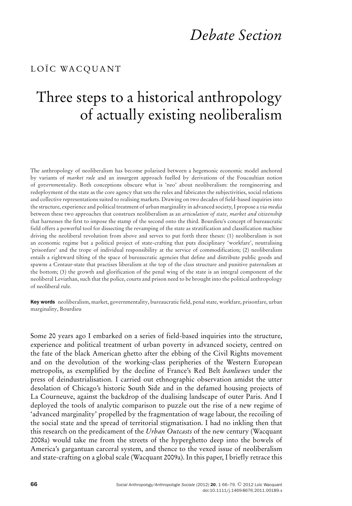## *Debate Section*

### LOÏC WACQUANT

# Three steps to a historical anthropology of actually existing neoliberalism

The anthropology of neoliberalism has become polarised between a hegemonic economic model anchored by variants of *market rule* and an insurgent approach fuelled by derivations of the Foucaultian notion of *governmentality*. Both conceptions obscure what is 'neo' about neoliberalism: the reengineering and redeployment of the state as the core agency that sets the rules and fabricates the subjectivities, social relations and collective representations suited to realising markets. Drawing on two decades of field-based inquiries into the structure, experience and political treatment of urban marginality in advanced society, I propose a *via media* between these two approaches that construes neoliberalism as an *articulation of state, market and citizenship* that harnesses the first to impose the stamp of the second onto the third. Bourdieu's concept of bureaucratic field offers a powerful tool for dissecting the revamping of the state as stratification and classification machine driving the neoliberal revolution from above and serves to put forth three theses: (1) neoliberalism is not an economic regime but a political project of state-crafting that puts disciplinary 'workfare', neutralising 'prisonfare' and the trope of individual responsibility at the service of commodification; (2) neoliberalism entails a rightward tilting of the space of bureaucratic agencies that define and distribute public goods and spawns a Centaur-state that practises liberalism at the top of the class structure and punitive paternalism at the bottom; (3) the growth and glorification of the penal wing of the state is an integral component of the neoliberal Leviathan, such that the police, courts and prison need to be brought into the political anthropology of neoliberal rule.

Key words neoliberalism, market, governmentality, bureaucratic field, penal state, workfare, prisonfare, urban marginality, Bourdieu

Some 20 years ago I embarked on a series of field-based inquiries into the structure, experience and political treatment of urban poverty in advanced society, centred on the fate of the black American ghetto after the ebbing of the Civil Rights movement and on the devolution of the working-class peripheries of the Western European metropolis, as exemplified by the decline of France's Red Belt *banlieues* under the press of deindustrialisation. I carried out ethnographic observation amidst the utter desolation of Chicago's historic South Side and in the defamed housing projects of La Courneuve, against the backdrop of the dualising landscape of outer Paris. And I deployed the tools of analytic comparison to puzzle out the rise of a new regime of 'advanced marginality' propelled by the fragmentation of wage labour, the recoiling of the social state and the spread of territorial stigmatisation. I had no inkling then that this research on the predicament of the *Urban Outcasts* of the new century (Wacquant 2008a) would take me from the streets of the hyperghetto deep into the bowels of America's gargantuan carceral system, and thence to the vexed issue of neoliberalism and state-crafting on a global scale (Wacquant 2009a). In this paper, I briefly retrace this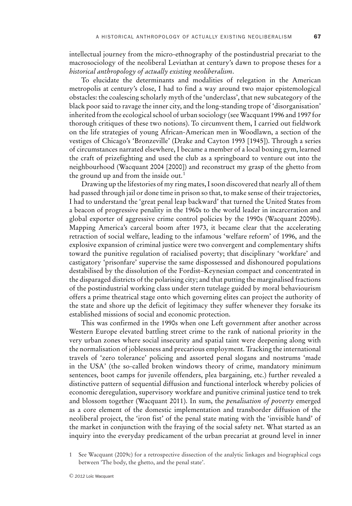intellectual journey from the micro-ethnography of the postindustrial precariat to the macrosociology of the neoliberal Leviathan at century's dawn to propose theses for a *historical anthropology of actually existing neoliberalism*.

To elucidate the determinants and modalities of relegation in the American metropolis at century's close, I had to find a way around two major epistemological obstacles: the coalescing scholarly myth of the 'underclass', that new subcategory of the black poor said to ravage the inner city, and the long-standing trope of 'disorganisation' inherited from the ecological school of urban sociology (seeWacquant 1996 and 1997 for thorough critiques of these two notions). To circumvent them, I carried out fieldwork on the life strategies of young African-American men in Woodlawn, a section of the vestiges of Chicago's 'Bronzeville' (Drake and Cayton 1993 [1945]). Through a series of circumstances narrated elsewhere, I became a member of a local boxing gym, learned the craft of prizefighting and used the club as a springboard to venture out into the neighbourhood (Wacquant 2004 [2000]) and reconstruct my grasp of the ghetto from the ground up and from the inside out.<sup>1</sup>

Drawing up the lifestories of my ring mates, I soon discovered that nearly all of them had passed through jail or done time in prison so that, to make sense of their trajectories, I had to understand the 'great penal leap backward' that turned the United States from a beacon of progressive penality in the 1960s to the world leader in incarceration and global exporter of aggressive crime control policies by the 1990s (Wacquant 2009b). Mapping America's carceral boom after 1973, it became clear that the accelerating retraction of social welfare, leading to the infamous 'welfare reform' of 1996, and the explosive expansion of criminal justice were two convergent and complementary shifts toward the punitive regulation of racialised poverty; that disciplinary 'workfare' and castigatory 'prisonfare' supervise the same dispossessed and dishonoured populations destabilised by the dissolution of the Fordist–Keynesian compact and concentrated in the disparaged districts of the polarising city; and that putting the marginalised fractions of the postindustrial working class under stern tutelage guided by moral behaviourism offers a prime theatrical stage onto which governing elites can project the authority of the state and shore up the deficit of legitimacy they suffer whenever they forsake its established missions of social and economic protection.

This was confirmed in the 1990s when one Left government after another across Western Europe elevated battling street crime to the rank of national priority in the very urban zones where social insecurity and spatial taint were deepening along with the normalisation of joblessness and precarious employment. Tracking the international travels of 'zero tolerance' policing and assorted penal slogans and nostrums 'made in the USA' (the so-called broken windows theory of crime, mandatory minimum sentences, boot camps for juvenile offenders, plea bargaining, etc.) further revealed a distinctive pattern of sequential diffusion and functional interlock whereby policies of economic deregulation, supervisory workfare and punitive criminal justice tend to trek and blossom together (Wacquant 2011). In sum, the *penalisation of poverty* emerged as a core element of the domestic implementation and transborder diffusion of the neoliberal project, the 'iron fist' of the penal state mating with the 'invisible hand' of the market in conjunction with the fraying of the social safety net. What started as an inquiry into the everyday predicament of the urban precariat at ground level in inner

<sup>1</sup> See Wacquant (2009c) for a retrospective dissection of the analytic linkages and biographical cogs between 'The body, the ghetto, and the penal state'.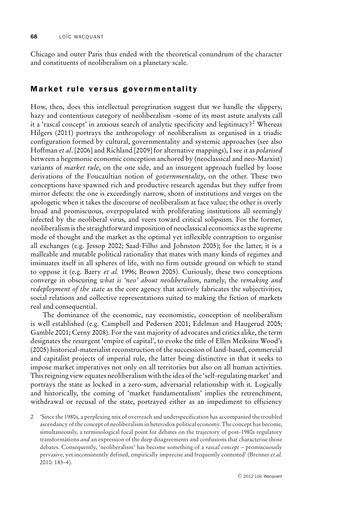Chicago and outer Paris thus ended with the theoretical conundrum of the character and constituents of neoliberalism on a planetary scale.

#### Market rule versus governmentality

How, then, does this intellectual peregrination suggest that we handle the slippery, hazy and contentious category of neoliberalism –some of its most astute analysts call it a 'rascal concept' in anxious search of analytic specificity and legitimacy?<sup>2</sup> Whereas Hilgers (2011) portrays the anthropology of neoliberalism as organised in a triadic configuration formed by cultural, governmentality and systemic approaches (see also Hoffman *et al*. [2006] and Richland [2009] for alternative mappings), I see it as *polarised* between a hegemonic economic conception anchored by (neoclassical and neo-Marxist) variants of *market rule*, on the one side, and an insurgent approach fuelled by loose derivations of the Foucaultian notion of *governmentality*, on the other. These two conceptions have spawned rich and productive research agendas but they suffer from mirror defects: the one is exceedingly narrow, shorn of institutions and verges on the apologetic when it takes the discourse of neoliberalism at face value; the other is overly broad and promiscuous, overpopulated with proliferating institutions all seemingly infected by the neoliberal virus, and veers toward critical solipsism. For the former, neoliberalism is the straightforward imposition of neoclassical economics as the supreme mode of thought and the market as the optimal yet inflexible contraption to organise all exchanges (e.g. Jessop 2002; Saad-Filho and Johnston 2005); for the latter, it is a malleable and mutable political rationality that mates with many kinds of regimes and insinuates itself in all spheres of life, with no firm outside ground on which to stand to oppose it (e.g. Barry *et al.* 1996; Brown 2005). Curiously, these two conceptions converge in obscuring *what is 'neo' about neoliberalism*, namely, the *remaking and redeployment of the state* as the core agency that actively fabricates the subjectivities, social relations and collective representations suited to making the fiction of markets real and consequential.

The dominance of the economic, nay economistic, conception of neoliberalism is well established (e.g. Campbell and Pedersen 2001; Edelman and Haugerud 2005; Gamble 2001; Cerny 2008). For the vast majority of advocates and critics alike, the term designates the resurgent 'empire of capital', to evoke the title of Ellen Meiksins Wood's (2005) historical-materialist reconstruction of the succession of land-based, commercial and capitalist projects of imperial rule, the latter being distinctive in that it seeks to impose market imperatives not only on all territories but also on all human activities. This reigning view equates neoliberalism with the idea of the 'self-regulating market' and portrays the state as locked in a zero-sum, adversarial relationship with it. Logically and historically, the coming of 'market fundamentalism' implies the retrenchment, withdrawal or recusal of the state, portrayed either as an impediment to efficiency

2 'Since the 1980s, a perplexing mix of overreach and underspecification has accompanied the troubled ascendancy of the concept of neoliberalism in heterodox political economy. The concept has become, simultaneously, a terminological focal point for debates on the trajectory of post-1980s regulatory transformations *and* an expression of the deep disagreements and confusions that characterise those debates. Consequently, 'neoliberalism' has become something of a *rascal concept* – promiscuously pervasive, yet inconsistently defined, empirically imprecise and frequently contested' (Brenner *et al.* 2010: 183–4).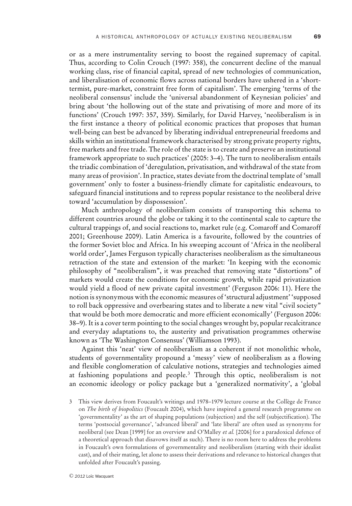or as a mere instrumentality serving to boost the regained supremacy of capital. Thus, according to Colin Crouch (1997: 358), the concurrent decline of the manual working class, rise of financial capital, spread of new technologies of communication, and liberalisation of economic flows across national borders have ushered in a 'shorttermist, pure-market, constraint free form of capitalism'. The emerging 'terms of the neoliberal consensus' include the 'universal abandonment of Keynesian policies' and bring about 'the hollowing out of the state and privatising of more and more of its functions' (Crouch 1997: 357, 359). Similarly, for David Harvey, 'neoliberalism is in the first instance a theory of political economic practices that proposes that human well-being can best be advanced by liberating individual entrepreneurial freedoms and skills within an institutional framework characterised by strong private property rights, free markets and free trade. The role of the state is to create and preserve an institutional framework appropriate to such practices' (2005: 3–4). The turn to neoliberalism entails the triadic combination of 'deregulation, privatisation, and withdrawal of the state from many areas of provision'. In practice, states deviate from the doctrinal template of 'small government' only to foster a business-friendly climate for capitalistic endeavours, to safeguard financial institutions and to repress popular resistance to the neoliberal drive toward 'accumulation by dispossession'.

Much anthropology of neoliberalism consists of transporting this schema to different countries around the globe or taking it to the continental scale to capture the cultural trappings of, and social reactions to, market rule (e.g. Comaroff and Comaroff 2001; Greenhouse 2009). Latin America is a favourite, followed by the countries of the former Soviet bloc and Africa. In his sweeping account of 'Africa in the neoliberal world order', James Ferguson typically characterises neoliberalism as the simultaneous retraction of the state and extension of the market: 'In keeping with the economic philosophy of "neoliberalism", it was preached that removing state "distortions" of markets would create the conditions for economic growth, while rapid privatization would yield a flood of new private capital investment' (Ferguson 2006: 11). Here the notion is synonymous with the economic measures of 'structural adjustment' 'supposed to roll back oppressive and overbearing states and to liberate a new vital "civil society" that would be both more democratic and more efficient economically' (Ferguson 2006: 38–9). It is a cover term pointing to the social changes wrought by, popular recalcitrance and everyday adaptations to, the austerity and privatisation programmes otherwise known as 'The Washington Consensus' (Williamson 1993).

Against this 'neat' view of neoliberalism as a coherent if not monolithic whole, students of governmentality propound a 'messy' view of neoliberalism as a flowing and flexible conglomeration of calculative notions, strategies and technologies aimed at fashioning populations and people.<sup>3</sup> Through this optic, neoliberalism is not an economic ideology or policy package but a 'generalized normativity', a 'global

3 This view derives from Foucault's writings and 1978–1979 lecture course at the College de France ` on *The birth of biopolitics* (Foucault 2004), which have inspired a general research programme on 'governmentality' as the art of shaping populations (subjection) and the self (subjectification). The terms 'postsocial governance', 'advanced liberal' and 'late liberal' are often used as synonyms for neoliberal (see Dean [1999] for an overview and O'Malley *et al.* [2006] for a paradoxical defence of a theoretical approach that disavows itself as such). There is no room here to address the problems in Foucault's own formulations of governmentality and neoliberalism (starting with their idealist cast), and of their mating, let alone to assess their derivations and relevance to historical changes that unfolded after Foucault's passing.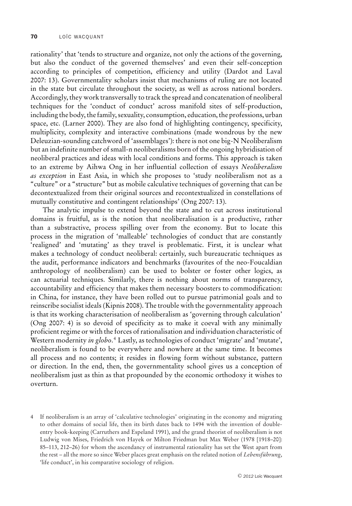rationality' that 'tends to structure and organize, not only the actions of the governing, but also the conduct of the governed themselves' and even their self-conception according to principles of competition, efficiency and utility (Dardot and Laval 2007: 13). Governmentality scholars insist that mechanisms of ruling are not located in the state but circulate throughout the society, as well as across national borders. Accordingly, they work transversally to track the spread and concatenation of neoliberal techniques for the 'conduct of conduct' across manifold sites of self-production, including the body, the family, sexuality, consumption, education, the professions, urban space, etc. (Larner 2000). They are also fond of highlighting contingency, specificity, multiplicity, complexity and interactive combinations (made wondrous by the new Deleuzian-sounding catchword of 'assemblages'): there is not one big-N Neoliberalism but an indefinite number of small-n neoliberalisms born of the ongoing hybridisation of neoliberal practices and ideas with local conditions and forms. This approach is taken to an extreme by Aihwa Ong in her influential collection of essays *Neoliberalism as exception* in East Asia, in which she proposes to 'study neoliberalism not as a "culture" or a "structure" but as mobile calculative techniques of governing that can be decontextualized from their original sources and recontextualized in constellations of mutually constitutive and contingent relationships' (Ong 2007: 13).

The analytic impulse to extend beyond the state and to cut across institutional domains is fruitful, as is the notion that neoliberalisation is a productive, rather than a substractive, process spilling over from the economy. But to locate this process in the migration of 'malleable' technologies of conduct that are constantly 'realigned' and 'mutating' as they travel is problematic. First, it is unclear what makes a technology of conduct neoliberal: certainly, such bureaucratic techniques as the audit, performance indicators and benchmarks (favourites of the neo-Foucaldian anthropology of neoliberalism) can be used to bolster or foster other logics, as can actuarial techniques. Similarly, there is nothing about norms of transparency, accountability and efficiency that makes them necessary boosters to commodification: in China, for instance, they have been rolled out to pursue patrimonial goals and to reinscribe socialist ideals (Kipnis 2008). The trouble with the governmentality approach is that its working characterisation of neoliberalism as 'governing through calculation' (Ong 2007: 4) is so devoid of specificity as to make it coeval with any minimally proficient regime or with the forces of rationalisation and individuation characteristic of Western modernity *in globo*. <sup>4</sup> Lastly, as technologies of conduct 'migrate' and 'mutate', neoliberalism is found to be everywhere and nowhere at the same time. It becomes all process and no contents; it resides in flowing form without substance, pattern or direction. In the end, then, the governmentality school gives us a conception of neoliberalism just as thin as that propounded by the economic orthodoxy it wishes to overturn.

<sup>4</sup> If neoliberalism is an array of 'calculative technologies' originating in the economy and migrating to other domains of social life, then its birth dates back to 1494 with the invention of doubleentry book-keeping (Carruthers and Espeland 1991), and the grand theorist of neoliberalism is not Ludwig von Mises, Friedrich von Hayek or Milton Friedman but Max Weber (1978 [1918–20]: 85–113, 212–26) for whom the ascendancy of instrumental rationality has set the West apart from the rest – all the more so since Weber places great emphasis on the related notion of *Lebensführung*, 'life conduct', in his comparative sociology of religion.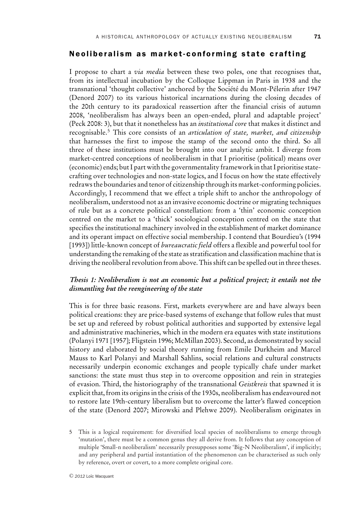#### Neoliberalism as market-conforming state crafting

I propose to chart a *via media* between these two poles, one that recognises that, from its intellectual incubation by the Colloque Lippman in Paris in 1938 and the transnational 'thought collective' anchored by the Société du Mont-Pélerin after 1947 (Denord 2007) to its various historical incarnations during the closing decades of the 20th century to its paradoxical reassertion after the financial crisis of autumn 2008, 'neoliberalism has always been an open-ended, plural and adaptable project' (Peck 2008: 3), but that it nonetheless has an *institutional core* that makes it distinct and recognisable.<sup>5</sup> This core consists of an *articulation of state, market, and citizenship* that harnesses the first to impose the stamp of the second onto the third. So all three of these institutions must be brought into our analytic ambit. I diverge from market-centred conceptions of neoliberalism in that I prioritise (political) means over (economic) ends; but I part with the governmentality framework in that I prioritise statecrafting over technologies and non-state logics, and I focus on how the state effectively redraws the boundaries and tenor of citizenship through its market-conforming policies. Accordingly, I recommend that we effect a triple shift to anchor the anthropology of neoliberalism, understood not as an invasive economic doctrine or migrating techniques of rule but as a concrete political constellation: from a 'thin' economic conception centred on the market to a 'thick' sociological conception centred on the state that specifies the institutional machinery involved in the establishment of market dominance and its operant impact on effective social membership. I contend that Bourdieu's (1994 [1993]) little-known concept of *bureaucratic field* offers a flexible and powerful tool for understanding the remaking of the state as stratification and classification machine that is driving the neoliberal revolution from above. This shift can be spelled out in three theses.

#### *Thesis 1: Neoliberalism is not an economic but a political project; it entails not the dismantling but the reengineering of the state*

This is for three basic reasons. First, markets everywhere are and have always been political creations: they are price-based systems of exchange that follow rules that must be set up and refereed by robust political authorities and supported by extensive legal and administrative machineries, which in the modern era equates with state institutions (Polanyi 1971 [1957]; Fligstein 1996; McMillan 2003). Second, as demonstrated by social history and elaborated by social theory running from Emile Durkheim and Marcel Mauss to Karl Polanyi and Marshall Sahlins, social relations and cultural constructs necessarily underpin economic exchanges and people typically chafe under market sanctions: the state must thus step in to overcome opposition and rein in strategies of evasion. Third, the historiography of the transnational *Geistkreis* that spawned it is explicit that, from its origins in the crisis of the 1930s, neoliberalism has endeavoured not to restore late 19th-century liberalism but to overcome the latter's flawed conception of the state (Denord 2007; Mirowski and Plehwe 2009). Neoliberalism originates in

5 This is a logical requirement: for diversified local species of neoliberalisms to emerge through 'mutation', there must be a common genus they all derive from. It follows that any conception of multiple 'Small-n neoliberalism' necessarily presupposes some 'Big-N Neoliberalism', if implicitly; and any peripheral and partial instantiation of the phenomenon can be characterised as such only by reference, overt or covert, to a more complete original core.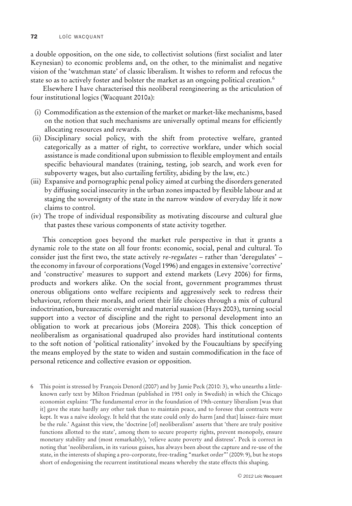a double opposition, on the one side, to collectivist solutions (first socialist and later Keynesian) to economic problems and, on the other, to the minimalist and negative vision of the 'watchman state' of classic liberalism. It wishes to reform and refocus the state so as to actively foster and bolster the market as an ongoing political creation.<sup>6</sup>

Elsewhere I have characterised this neoliberal reengineering as the articulation of four institutional logics (Wacquant 2010a):

- (i) Commodification as the extension of the market or market-like mechanisms, based on the notion that such mechanisms are universally optimal means for efficiently allocating resources and rewards.
- (ii) Disciplinary social policy, with the shift from protective welfare, granted categorically as a matter of right, to corrective workfare, under which social assistance is made conditional upon submission to flexible employment and entails specific behavioural mandates (training, testing, job search, and work even for subpoverty wages, but also curtailing fertility, abiding by the law, etc.)
- (iii) Expansive and pornographic penal policy aimed at curbing the disorders generated by diffusing social insecurity in the urban zones impacted by flexible labour and at staging the sovereignty of the state in the narrow window of everyday life it now claims to control.
- (iv) The trope of individual responsibility as motivating discourse and cultural glue that pastes these various components of state activity together.

This conception goes beyond the market rule perspective in that it grants a dynamic role to the state on all four fronts: economic, social, penal and cultural. To consider just the first two, the state actively *re-regulates* – rather than 'deregulates' – the economy in favour of corporations (Vogel 1996) and engages in extensive 'corrective' and 'constructive' measures to support and extend markets (Levy 2006) for firms, products and workers alike. On the social front, government programmes thrust onerous obligations onto welfare recipients and aggressively seek to redress their behaviour, reform their morals, and orient their life choices through a mix of cultural indoctrination, bureaucratic oversight and material suasion (Hays 2003), turning social support into a vector of discipline and the right to personal development into an obligation to work at precarious jobs (Moreira 2008). This thick conception of neoliberalism as organisational quadruped also provides hard institutional contents to the soft notion of 'political rationality' invoked by the Foucaultians by specifying the means employed by the state to widen and sustain commodification in the face of personal reticence and collective evasion or opposition.

6 This point is stressed by François Denord (2007) and by Jamie Peck (2010: 3), who unearths a littleknown early text by Milton Friedman (published in 1951 only in Swedish) in which the Chicago economist explains: 'The fundamental error in the foundation of 19th-century liberalism [was that it] gave the state hardly any other task than to maintain peace, and to foresee that contracts were kept. It was a naïve ideology. It held that the state could only do harm [and that] laissez-faire must be the rule.' Against this view, the 'doctrine [of] neoliberalism' asserts that 'there are truly positive functions allotted to the state', among them to secure property rights, prevent monopoly, ensure monetary stability and (most remarkably), 'relieve acute poverty and distress'. Peck is correct in noting that 'neoliberalism, in its various guises, has always been about the capture and re-use of the state, in the interests of shaping a pro-corporate, free-trading "market order"' (2009: 9), but he stops short of endogenising the recurrent institutional means whereby the state effects this shaping.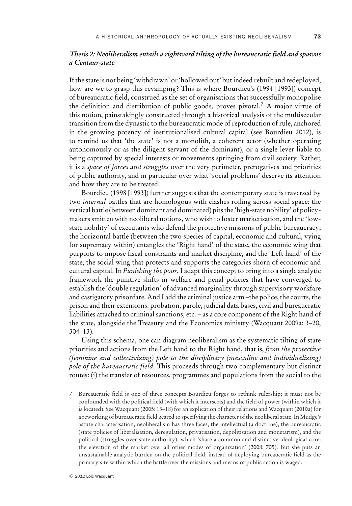#### *Thesis 2: Neoliberalism entails a rightward tilting of the bureaucratic field and spawns a Centaur-state*

If the state is not being 'withdrawn' or 'hollowed out' but indeed rebuilt and redeployed, how are we to grasp this revamping? This is where Bourdieu's (1994 [1993]) concept of bureaucratic field, construed as the set of organisations that successfully monopolise the definition and distribution of public goods, proves pivotal.<sup>7</sup> A major virtue of this notion, painstakingly constructed through a historical analysis of the multisecular transition from the dynastic to the bureaucratic mode of reproduction of rule, anchored in the growing potency of institutionalised cultural capital (see Bourdieu 2012), is to remind us that 'the state' is not a monolith, a coherent actor (whether operating autonomously or as the diligent servant of the dominant), or a single lever liable to being captured by special interests or movements springing from civil society. Rather, it is a *space of forces and struggles* over the very perimeter, prerogatives and priorities of public authority, and in particular over what 'social problems' deserve its attention and how they are to be treated.

Bourdieu (1998 [1993]) further suggests that the contemporary state is traversed by two *internal* battles that are homologous with clashes roiling across social space: the vertical battle (between dominant and dominated) pits the 'high-state nobility' of policymakers smitten with neoliberal notions, who wish to foster marketisation, and the 'lowstate nobility' of executants who defend the protective missions of public bureaucracy; the horizontal battle (between the two species of capital, economic and cultural, vying for supremacy within) entangles the 'Right hand' of the state, the economic wing that purports to impose fiscal constraints and market discipline, and the 'Left hand' of the state, the social wing that protects and supports the categories shorn of economic and cultural capital. In *Punishing the poor*, I adapt this concept to bring into a single analytic framework the punitive shifts in welfare and penal policies that have converged to establish the 'double regulation' of advanced marginality through supervisory workfare and castigatory prisonfare. And I add the criminal justice arm –the police, the courts, the prison and their extensions: probation, parole, judicial data bases, civil and bureaucratic liabilities attached to criminal sanctions, etc. – as a core component of the Right hand of the state, alongside the Treasury and the Economics ministry (Wacquant 2009a: 3–20, 304–13).

Using this schema, one can diagram neoliberalism as the systematic tilting of state priorities and actions from the Left hand to the Right hand, that is, *from the protective (feminine and collectivizing) pole to the disciplinary (masculine and individualizing) pole of the bureaucratic field*. This proceeds through two complementary but distinct routes: (i) the transfer of resources, programmes and populations from the social to the

7 Bureaucratic field is one of three concepts Bourdieu forges to rethink rulership; it must not be confounded with the political field (with which it intersects) and the field of power (within which it is located). See Wacquant (2005: 13–18) for an explication of their relations and Wacquant (2010a) for a reworking of bureaucratic field geared to specifying the character of the neoliberal state. In Mudge's astute characterisation, neoliberalism has three faces, the intellectual (a doctrine), the bureaucratic (state policies of liberalisation, deregulation, privatisation, depolitisation and monetarism), and the political (struggles over state authority), which 'share a common and distinctive ideological core: the elevation of the market over all other modes of organization' (2008: 705). But she puts an unsustainable analytic burden on the political field, instead of deploying bureaucratic field as the primary site within which the battle over the missions and means of public action is waged.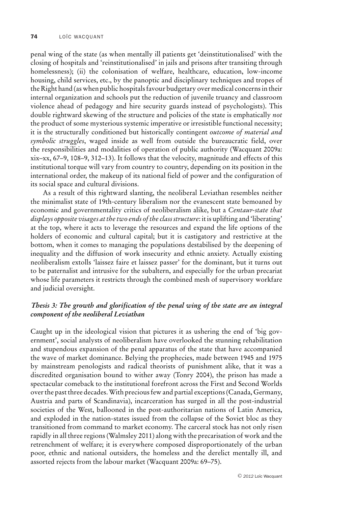penal wing of the state (as when mentally ill patients get 'deinstitutionalised' with the closing of hospitals and 'reinstitutionalised' in jails and prisons after transiting through homelessness); (ii) the colonisation of welfare, healthcare, education, low-income housing, child services, etc., by the panoptic and disciplinary techniques and tropes of the Right hand (as when public hospitals favour budgetary over medical concerns in their internal organization and schools put the reduction of juvenile truancy and classroom violence ahead of pedagogy and hire security guards instead of psychologists). This double rightward skewing of the structure and policies of the state is emphatically *not* the product of some mysterious systemic imperative or irresistible functional necessity; it is the structurally conditioned but historically contingent *outcome of material and symbolic struggles*, waged inside as well from outside the bureaucratic field, over the responsibilities and modalities of operation of public authority (Wacquant 2009a: xix–xx, 67–9, 108–9, 312–13). It follows that the velocity, magnitude and effects of this institutional torque will vary from country to country, depending on its position in the international order, the makeup of its national field of power and the configuration of its social space and cultural divisions.

As a result of this rightward slanting, the neoliberal Leviathan resembles neither the minimalist state of 19th-century liberalism nor the evanescent state bemoaned by economic and governmentality critics of neoliberalism alike, but a *Centaur-state that displays opposite visages at the two ends of the class structure*: it is uplifting and 'liberating' at the top, where it acts to leverage the resources and expand the life options of the holders of economic and cultural capital; but it is castigatory and restrictive at the bottom, when it comes to managing the populations destabilised by the deepening of inequality and the diffusion of work insecurity and ethnic anxiety. Actually existing neoliberalism extolls 'laissez faire et laissez passer' for the dominant, but it turns out to be paternalist and intrusive for the subaltern, and especially for the urban precariat whose life parameters it restricts through the combined mesh of supervisory workfare and judicial oversight.

#### *Thesis 3: The growth and glorification of the penal wing of the state are an integral component of the neoliberal Leviathan*

Caught up in the ideological vision that pictures it as ushering the end of 'big government', social analysts of neoliberalism have overlooked the stunning rehabilitation and stupendous expansion of the penal apparatus of the state that have accompanied the wave of market dominance. Belying the prophecies, made between 1945 and 1975 by mainstream penologists and radical theorists of punishment alike, that it was a discredited organisation bound to wither away (Tonry 2004), the prison has made a spectacular comeback to the institutional forefront across the First and Second Worlds over the past three decades.With precious few and partial exceptions (Canada, Germany, Austria and parts of Scandinavia), incarceration has surged in all the post-industrial societies of the West, ballooned in the post-authoritarian nations of Latin America, and exploded in the nation-states issued from the collapse of the Soviet bloc as they transitioned from command to market economy. The carceral stock has not only risen rapidly in all three regions (Walmsley 2011) along with the precarisation of work and the retrenchment of welfare; it is everywhere composed disproportionately of the urban poor, ethnic and national outsiders, the homeless and the derelict mentally ill, and assorted rejects from the labour market (Wacquant 2009a: 69–75).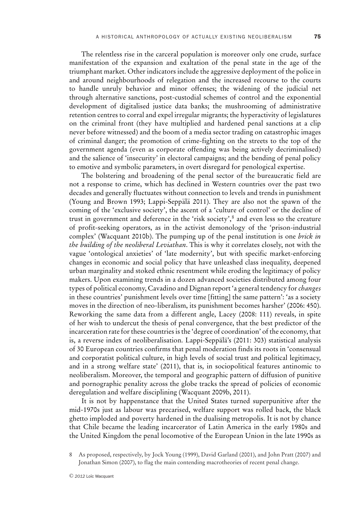The relentless rise in the carceral population is moreover only one crude, surface manifestation of the expansion and exaltation of the penal state in the age of the triumphant market. Other indicators include the aggressive deployment of the police in and around neighbourhoods of relegation and the increased recourse to the courts to handle unruly behavior and minor offenses; the widening of the judicial net through alternative sanctions, post-custodial schemes of control and the exponential development of digitalised justice data banks; the mushrooming of administrative retention centres to corral and expel irregular migrants; the hyperactivity of legislatures on the criminal front (they have multiplied and hardened penal sanctions at a clip never before witnessed) and the boom of a media sector trading on catastrophic images of criminal danger; the promotion of crime-fighting on the streets to the top of the government agenda (even as corporate offending was being actively decriminalised) and the salience of 'insecurity' in electoral campaigns; and the bending of penal policy to emotive and symbolic parameters, in overt disregard for penological expertise.

The bolstering and broadening of the penal sector of the bureaucratic field are not a response to crime, which has declined in Western countries over the past two decades and generally fluctuates without connection to levels and trends in punishment (Young and Brown 1993; Lappi-Seppala 2011). They are also not the spawn of the coming of the 'exclusive society', the ascent of a 'culture of control' or the decline of trust in government and deference in the 'risk society',<sup>8</sup> and even less so the creature of profit-seeking operators, as in the activist demonology of the 'prison-industrial complex' (Wacquant 2010b). The pumping up of the penal institution is one *brick in the building of the neoliberal Leviathan*. This is why it correlates closely, not with the vague 'ontological anxieties' of 'late modernity', but with specific market-enforcing changes in economic and social policy that have unleashed class inequality, deepened urban marginality and stoked ethnic resentment while eroding the legitimacy of policy makers. Upon examining trends in a dozen advanced societies distributed among four types of political economy, Cavadino and Dignan report 'a general tendency for*changes* in these countries' punishment levels over time [fitting] the same pattern': 'as a society moves in the direction of neo-liberalism, its punishment becomes harsher' (2006: 450). Reworking the same data from a different angle, Lacey (2008: 111) reveals, in spite of her wish to undercut the thesis of penal convergence, that the best predictor of the incarceration rate for these countries is the 'degree of coordination' of the economy, that is, a reverse index of neoliberalisation. Lappi-Seppala's (2011: 303) statistical analysis of 30 European countries confirms that penal moderation finds its roots in 'consensual and corporatist political culture, in high levels of social trust and political legitimacy, and in a strong welfare state' (2011), that is, in sociopolitical features antinomic to neoliberalism. Moreover, the temporal and geographic pattern of diffusion of punitive and pornographic penality across the globe tracks the spread of policies of economic deregulation and welfare disciplining (Wacquant 2009b, 2011).

It is not by happenstance that the United States turned superpunitive after the mid-1970s just as labour was precarised, welfare support was rolled back, the black ghetto imploded and poverty hardened in the dualising metropolis. It is not by chance that Chile became the leading incarcerator of Latin America in the early 1980s and the United Kingdom the penal locomotive of the European Union in the late 1990s as

<sup>8</sup> As proposed, respectively, by Jock Young (1999), David Garland (2001), and John Pratt (2007) and Jonathan Simon (2007), to flag the main contending macrotheories of recent penal change.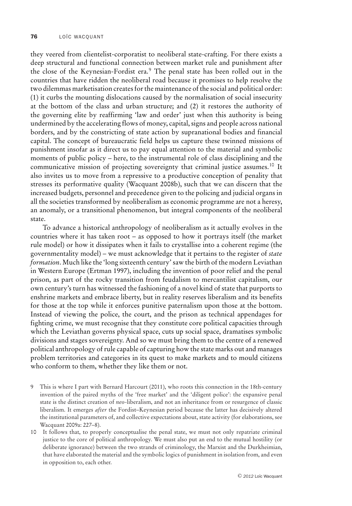they veered from clientelist-corporatist to neoliberal state-crafting. For there exists a deep structural and functional connection between market rule and punishment after the close of the Keynesian-Fordist era.<sup>9</sup> The penal state has been rolled out in the countries that have ridden the neoliberal road because it promises to help resolve the two dilemmas marketisation creates for the maintenance of the social and political order: (1) it curbs the mounting dislocations caused by the normalisation of social insecurity at the bottom of the class and urban structure; and (2) it restores the authority of the governing elite by reaffirming 'law and order' just when this authority is being undermined by the accelerating flows of money, capital, signs and people across national borders, and by the constricting of state action by supranational bodies and financial capital. The concept of bureaucratic field helps us capture these twinned missions of punishment insofar as it direct us to pay equal attention to the material and symbolic moments of public policy – here, to the instrumental role of class disciplining and the communicative mission of projecting sovereignty that criminal justice assumes.<sup>10</sup> It also invites us to move from a repressive to a productive conception of penality that stresses its performative quality (Wacquant 2008b), such that we can discern that the increased budgets, personnel and precedence given to the policing and judicial organs in all the societies transformed by neoliberalism as economic programme are not a heresy, an anomaly, or a transitional phenomenon, but integral components of the neoliberal state.

To advance a historical anthropology of neoliberalism as it actually evolves in the countries where it has taken root – as opposed to how it portrays itself (the market rule model) or how it dissipates when it fails to crystallise into a coherent regime (the governmentality model) – we must acknowledge that it pertains to the register of *state formation*. Much like the 'long sixteenth century' saw the birth of the modern Leviathan in Western Europe (Ertman 1997), including the invention of poor relief and the penal prison, as part of the rocky transition from feudalism to mercantilist capitalism, our own century's turn has witnessed the fashioning of a novel kind of state that purports to enshrine markets and embrace liberty, but in reality reserves liberalism and its benefits for those at the top while it enforces punitive paternalism upon those at the bottom. Instead of viewing the police, the court, and the prison as technical appendages for fighting crime, we must recognise that they constitute core political capacities through which the Leviathan governs physical space, cuts up social space, dramatises symbolic divisions and stages sovereignty. And so we must bring them to the centre of a renewed political anthropology of rule capable of capturing how the state marks out and manages problem territories and categories in its quest to make markets and to mould citizens who conform to them, whether they like them or not.

- 9 This is where I part with Bernard Harcourt (2011), who roots this connection in the 18th-century invention of the paired myths of the 'free market' and the 'diligent police': the expansive penal state is the distinct creation of *neo*-liberalism, and not an inheritance from or resurgence of classic liberalism. It emerges *after* the Fordist–Keynesian period because the latter has decisively altered the institutional parameters of, and collective expectations about, state activity (for elaborations, see Wacquant 2009a: 227–8).
- 10 It follows that, to properly conceptualise the penal state, we must not only repatriate criminal justice to the core of political anthropology. We must also put an end to the mutual hostility (or deliberate ignorance) between the two strands of criminology, the Marxist and the Durkheimian, that have elaborated the material and the symbolic logics of punishment in isolation from, and even in opposition to, each other.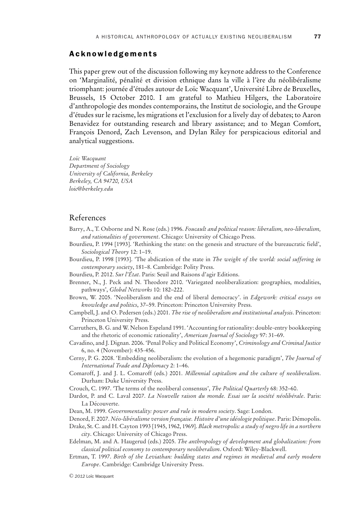#### Acknowledgements

This paper grew out of the discussion following my keynote address to the Conference on 'Marginalité, pénalité et division ethnique dans la ville à l'ère du néolibéralisme triomphant: journée d'études autour de Loïc Wacquant', Université Libre de Bruxelles, Brussels, 15 October 2010. I am grateful to Mathieu Hilgers, the Laboratoire d'anthropologie des mondes contemporains, the Institut de sociologie, and the Groupe d'etudes sur le racisme, les migrations et l'exclusion for a lively day of debates; to Aaron ´ Benavidez for outstanding research and library assistance; and to Megan Comfort, François Denord, Zach Levenson, and Dylan Riley for perspicacious editorial and analytical suggestions.

*Loıc Wacquant ¨ Department of Sociology University of California, Berkeley Berkeley, CA 94720, USA loic@berkeley.edu*

#### References

- Barry, A., T. Osborne and N. Rose (eds.) 1996. *Foucault and political reason: liberalism, neo-liberalism, and rationalities of government*. Chicago: University of Chicago Press.
- Bourdieu, P. 1994 [1993]. 'Rethinking the state: on the genesis and structure of the bureaucratic field', *Sociological Theory* 12: 1–19.
- Bourdieu, P. 1998 [1993]. 'The abdication of the state in *The weight of the world: social suffering in contemporary society*, 181–8. Cambridge: Polity Press.
- Bourdieu, P. 2012. *Sur l'État*. Paris: Seuil and Raisons d'agir Editions.
- Brenner, N., J. Peck and N. Theodore 2010. 'Variegated neoliberalization: geographies, modalities, pathways', *Global Networks* 10: 182–222.
- Brown, W. 2005. 'Neoliberalism and the end of liberal democracy'. in *Edgework: critical essays on knowledge and politics*, 37–59. Princeton: Princeton University Press.
- Campbell, J. and O. Pedersen (eds.) 2001. *The rise of neoliberalism and institutional analysis*. Princeton: Princeton University Press.
- Carruthers, B. G. and W. Nelson Espeland 1991. 'Accounting for rationality: double-entry bookkeeping and the rhetoric of economic rationality', *American Journal of Sociology* 97: 31–69.
- Cavadino, and J. Dignan. 2006. 'Penal Policy and Political Economy', *Criminology and Criminal Justice* 6, no. 4 (November): 435-456.
- Cerny, P. G. 2008. 'Embedding neoliberalism: the evolution of a hegemonic paradigm', *The Journal of International Trade and Diplomacy* 2: 1–46.
- Comaroff, J. and J. L. Comaroff (eds.) 2001. *Millennial capitalism and the culture of neoliberalism*. Durham: Duke University Press.

Crouch, C. 1997. 'The terms of the neoliberal consensus', *The Political Quarterly* 68: 352–60.

- Dardot, P. and C. Laval 2007. *La Nouvelle raison du monde. Essai sur la societ´ e n ´ eolib ´ erale ´* . Paris: La Découverte.
- Dean, M. 1999. *Governmentality: power and rule in modern society*. Sage: London.
- Denord, F. 2007. *Néo-libéralisme version française. Histoire d'une idéologie politique*. Paris: Démopolis.
- Drake, St. C. and H. Cayton 1993 [1945, 1962, 1969]. *Black metropolis: a study of negro life in a northern city*. Chicago: University of Chicago Press.
- Edelman, M. and A. Haugerud (eds.) 2005. *The anthropology of development and globalization: from classical political economy to contemporary neoliberalism*. Oxford: Wiley-Blackwell.
- Ertman, T. 1997. *Birth of the Leviathan: building states and regimes in medieval and early modern Europe*. Cambridge: Cambridge University Press.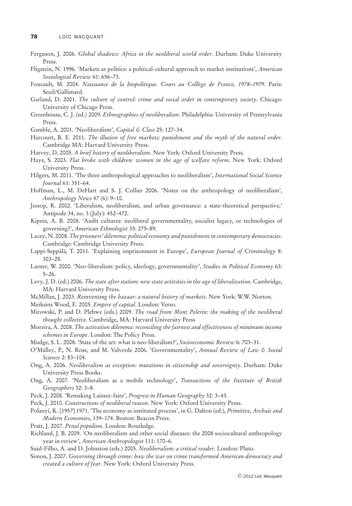- Ferguson, J. 2006. *Global shadows: Africa in the neoliberal world order*. Durham: Duke University Press.
- Fligstein, N. 1996. 'Markets as politics: a political-cultural approach to market institutions', *American Sociological Review* 61: 656–73.
- Foucault, M. 2004. *Naisssance de la biopolitique. Cours au College de France, 1978–1979 `* . Paris: Seuil/Gallimard.
- Garland, D. 2001. *The culture of control: crime and social order in contemporary society*. Chicago: University of Chicago Press.
- Greenhouse, C. J. (ed.) 2009. *Ethnographies of neoliberalism*. Philadelphia: University of Pennsylvania Press.
- Gamble, A. 2001. 'Neoliberalism', *Capital & Class* 25: 127–34.
- Harcourt, B. E. 2011. *The illusion of free markets: punishment and the myth of the natural order*. Cambridge MA: Harvard University Press.
- Harvey, D. 2005. *A brief history of neoliberalism*. New York: Oxford University Press.
- Hays, S. 2003. *Flat broke with children: women in the age of welfare reform*. New York: Oxford University Press.
- Hilgers, M. 2011. 'The three anthropological approaches to neoliberalism', *International Social Science Journal* 61: 351–64.
- Hoffman, L., M. DeHart and S. J. Collier 2006. 'Notes on the anthropology of neoliberalism', *Anthropology News* 47 (6): 9–10.
- Jessop, R. 2002. 'Liberalism, neoliberalism, and urban governance: a state-theoretical perspective,' Antipode 34, no. 3 (July): 452–472.
- Kipnis, A. B. 2008. 'Audit cultures: neoliberal governmentality, socialist legacy, or technologies of governing?', *American Ethnologist* 35: 275–89.
- Lacey, N. 2008. *The prisoners' dilemma: political economy and punishment in contemporary democracies*. Cambridge: Cambridge University Press.
- Lappi-Seppalä, T. 2011. 'Explaining imprisonment in Europe', *European Journal of Criminology* 8: 303–28.
- Larner, W. 2000. 'Neo-liberalism: policy, ideology, governmentality', *Studies in Political Economy* 63: 5–26.
- Levy, J. D. (ed.) 2006. *The state after statism: new state activities in the age of liberalization*. Cambridge, MA: Harvard University Press.
- McMillan, J. 2003. *Reinventing the bazaar: a natural history of markets*. New York: W.W. Norton.
- Meiksins Wood, E. 2005. *Empire of capital*. London: Verso.
- Mirowski, P. and D. Plehwe (eds.) 2009. *The road from Mont Pelerin: the making of the neoliberal thought collective*. Cambridge, MA: Harvard University Press
- Moreira, A. 2008. *The activation dilemma: reconciling the fairness and effectiveness of minimum income schemes in Europe*. London: The Policy Press.
- Mudge, S. L. 2008. 'State of the art: what is neo-liberalism?', *Socioeconomic Review* 6: 703–31.
- O'Malley, P., N. Rose, and M. Valverde 2006. 'Governmentality', *Annual Review of Law & Social Science* 2: 83–104.
- Ong, A. 2006. *Neoliberalism as exception: mutations in citizenship and sovereignty*. Durham: Duke University Press Books.
- Ong, A. 2007. 'Neoliberalism as a mobile technology', *Transactions of the Institute of British Geographers* 32: 3–8.
- Peck, J. 2008. 'Remaking Laissez-faire', *Progress in Human Geography* 32: 3–43.
- Peck, J. 2010. *Constructions of neoliberal reason*. New York: Oxford University Press.
- Polanyi, K. [1957] 1971. 'The economy as instituted process', in G. Dalton (ed.), *Primitive, Archaic and Modern Economies*, 139–174. Boston: Beacon Press.
- Pratt, J. 2007. *Penal populism*. London: Routledge.
- Richland, J. B. 2009. 'On neoliberalism and other social diseases: the 2008 sociocultural anthropology year in review', *American Anthropologist* 111: 170–6.
- Saad-Filho, A. and D. Johnston (eds.) 2005. *Neoliberalism: a critical reader*. London: Pluto.
- Simon, J. 2007. *Governing through crime: how the war on crime transformed American democracy and created a culture of fear*. New York: Oxford University Press.